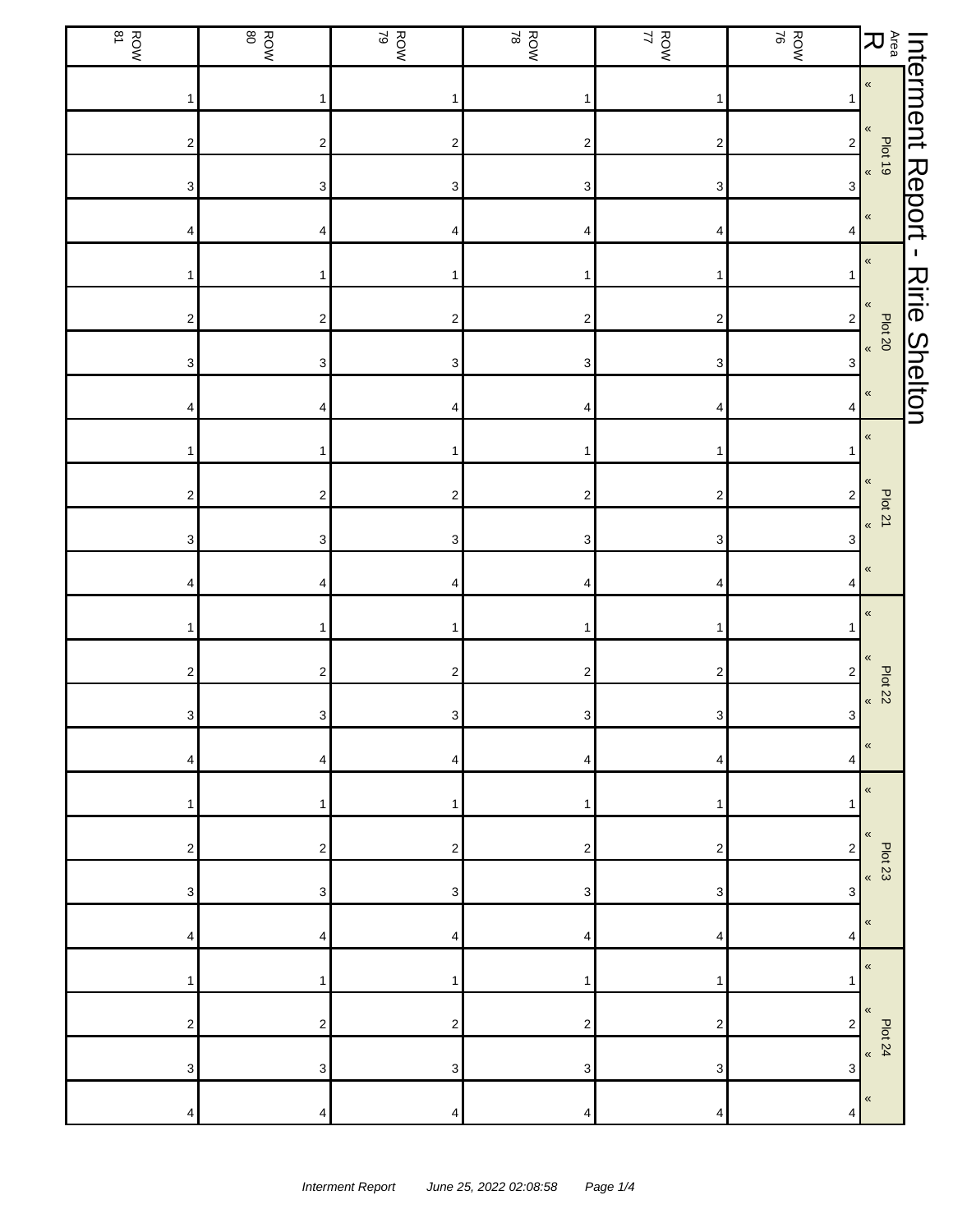| $\sum_{\alpha\in\mathfrak{a}}\mathbb{R}$ |                  | ROW<br>ROW                | ROW<br>17                 | ROW<br>ROW                | ROW<br>ROW              | ROW                     | <b>ROW</b>                |
|------------------------------------------|------------------|---------------------------|---------------------------|---------------------------|-------------------------|-------------------------|---------------------------|
| Interment Report                         | $\pmb{\alpha}$   | 1                         | $\mathbf{1}$              |                           | $\mathbf{1}$            | 1                       |                           |
| $\frac{1}{2}$<br>$\frac{1}{2}$           | $\pmb{\ll}$      | $\sqrt{2}$                | $\boldsymbol{2}$          | $\overline{\mathbf{c}}$   | $\mathbf 2$             | $\overline{\mathbf{c}}$ | 2                         |
|                                          |                  | 3                         | $\ensuremath{\mathsf{3}}$ | 3                         | 3                       | 3                       | 3                         |
|                                          | $\pmb{\kappa}$   | 4                         | 4                         | 4                         | 4                       | 4                       | 4                         |
| $\mathbf{I}$                             | $\pmb{\kappa}$   | $\mathbf{1}$              | 1                         |                           | 1                       | 1                       |                           |
| <b>Ririe Shelton</b><br>Plot 20          | $\pmb{\langle}$  | $\sqrt{2}$                | $\overline{\mathbf{c}}$   | $\overline{\mathbf{c}}$   | $\boldsymbol{2}$        | $\overline{\mathbf{c}}$ | $\overline{\mathbf{c}}$   |
|                                          |                  | $\ensuremath{\mathsf{3}}$ | $\ensuremath{\mathsf{3}}$ | $\ensuremath{\mathsf{3}}$ | 3                       | 3                       | 3                         |
|                                          | $\pmb{\kappa}$   | 4                         | 4                         | 4                         | 4                       | 4                       | 4                         |
|                                          | $\pmb{\kappa}$   |                           | 1                         |                           | 1                       | 1                       |                           |
| Plot 21                                  | «                | $\sqrt{2}$                | $\boldsymbol{2}$          | $\boldsymbol{2}$          | $\boldsymbol{2}$        | $\mathbf 2$             | $\boldsymbol{2}$          |
|                                          | $\pmb{\kappa}$   | 3                         | 3                         | 3                         | 3                       | 3                       | 3                         |
|                                          | $\pmb{\ll}$      | 4                         | 4                         | 4                         | 4                       | 4                       | 4                         |
|                                          | $\pmb{\ll}$      | 1                         | $\mathbf{1}$              | 1                         | $\mathbf{1}$            | 1                       |                           |
| Plot 22                                  | «                | $\overline{\mathbf{c}}$   | $\sqrt{2}$                | $\overline{\mathbf{c}}$   | $\boldsymbol{2}$        | $\boldsymbol{2}$        | 2                         |
|                                          | $\pmb{\alpha}$   | $\mathbf{3}$              | $\mathbf{3}$              | $\ensuremath{\mathsf{3}}$ | $3\vert$                | 3 <sup>1</sup>          | $\ensuremath{\mathsf{3}}$ |
|                                          | $\pmb{\langle}$  | 4                         | 4                         | 4                         | 4                       | 4                       | 4                         |
|                                          | $\pmb{\ll}$<br>« | 1                         | 1                         | 1                         | 1                       | 1                       |                           |
| Plot 23                                  | $\langle$        | $\overline{\mathbf{c}}$   | 2                         | 2                         | 2                       | 2                       | 2                         |
|                                          | $\pmb{\ll}$      | 3                         | 3                         | 3                         | 3                       | 3                       | 3                         |
|                                          | $\pmb{\ll}$      | 4                         | 4                         | 4                         | 4                       | 4                       | 4                         |
|                                          | $\pmb{\ll}$      | 1                         | 1                         | 1                         | 1                       | 1                       |                           |
| Plot 24                                  | $\pmb{\kappa}$   | $\overline{\mathbf{c}}$   | $\boldsymbol{2}$          | 2                         | $\overline{\mathbf{c}}$ | $\mathbf 2$             | 2                         |
|                                          | $\pmb{\ll}$      | 3                         | 3                         | 3                         | 3                       | 3                       | 3                         |
|                                          |                  | 4                         | 4                         | 4                         | 4                       | 4                       | 4                         |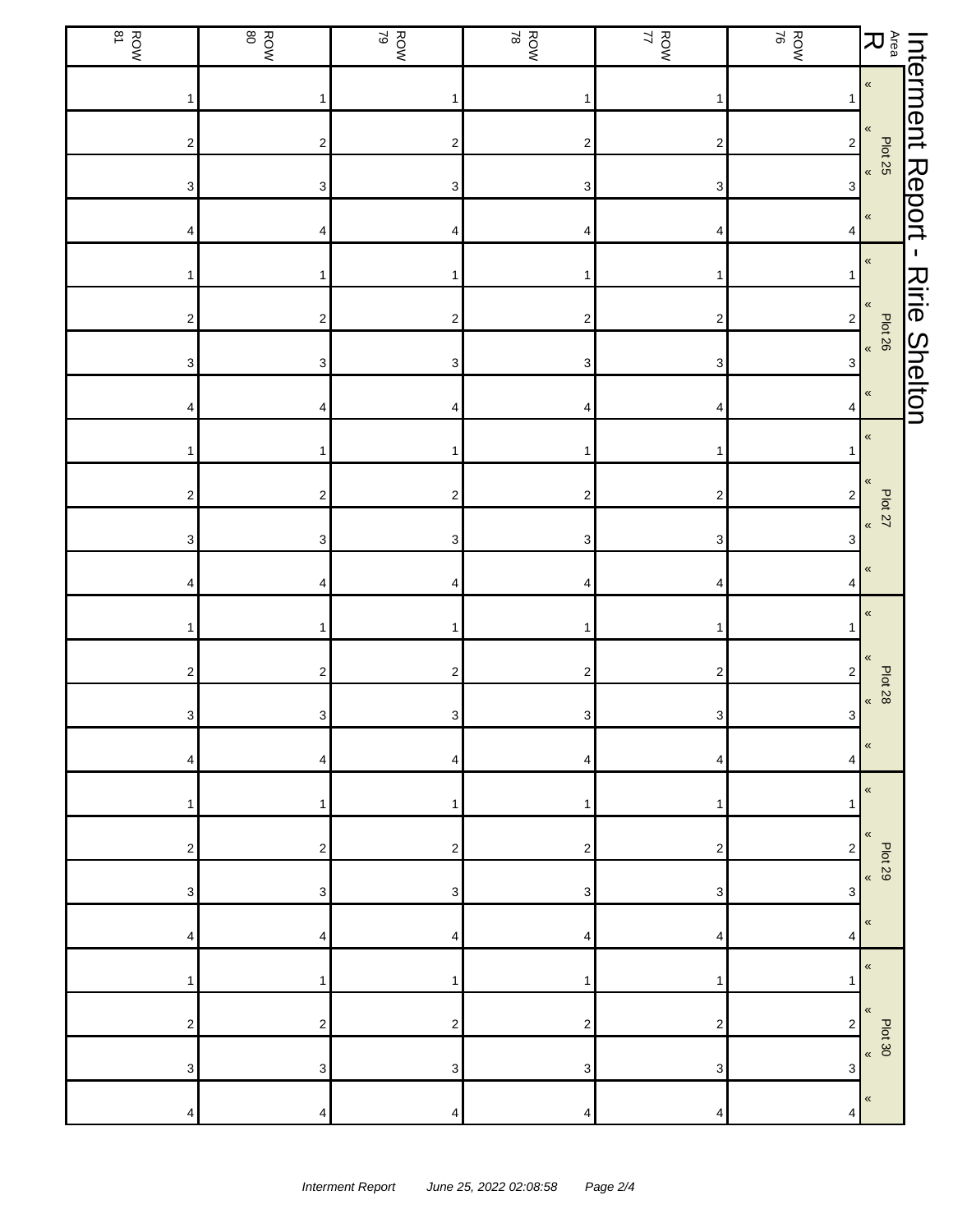| $\sum_{\alpha\in\mathfrak{a}}\mathbb{R}$           |                           | ROW<br>ROW | ROW<br>17                 | ROW<br>ROW                | ROW<br>ROW              | ROW                     | <b>ROW</b>                |
|----------------------------------------------------|---------------------------|------------|---------------------------|---------------------------|-------------------------|-------------------------|---------------------------|
| Interment Report<br>$\pmb{\alpha}$                 | 1                         |            | $\mathbf{1}$              |                           | $\mathbf{1}$            | 1                       |                           |
| $\pmb{\ll}$<br>Plat 25                             | $\sqrt{2}$                |            | $\boldsymbol{2}$          | $\overline{\mathbf{c}}$   | $\mathbf 2$             | $\overline{\mathbf{c}}$ | 2                         |
|                                                    | $\sqrt{3}$                |            | $\ensuremath{\mathsf{3}}$ | 3                         | 3                       | 3                       | 3                         |
| $\pmb{\kappa}$                                     | 4                         |            | 4                         | 4                         | 4                       | 4                       | 4                         |
| $\mathbf{I}$<br>$\pmb{\kappa}$                     | $\mathbf{1}$              |            | 1                         |                           | 1                       | 1                       |                           |
| <b>Ririe Shelton</b><br>$\pmb{\langle}$<br>Plot 26 | $\sqrt{2}$                |            | $\overline{\mathbf{c}}$   | $\overline{\mathbf{c}}$   | $\boldsymbol{2}$        | $\overline{\mathbf{c}}$ | $\overline{\mathbf{c}}$   |
|                                                    | $\ensuremath{\mathsf{3}}$ |            | $\ensuremath{\mathsf{3}}$ | $\ensuremath{\mathsf{3}}$ | 3                       | 3                       | 3                         |
| $\pmb{\kappa}$                                     | 4                         |            | 4                         | 4                         | 4                       | 4                       | 4                         |
| $\pmb{\kappa}$                                     |                           |            | 1                         |                           | 1                       | 1                       |                           |
| «<br>Plot 27                                       | $\sqrt{2}$                |            | $\boldsymbol{2}$          | $\boldsymbol{2}$          | $\boldsymbol{2}$        | $\mathbf 2$             | $\boldsymbol{2}$          |
| $\pmb{\kappa}$                                     | 3                         |            | 3                         | 3                         | 3                       | 3                       | 3                         |
| $\pmb{\langle}$                                    | 4                         |            | 4                         | 4                         | 4                       | 4                       | 4                         |
| $\pmb{\ll}$                                        | 1                         |            | 1                         | 1                         | $\mathbf{1}$            | 1                       |                           |
| «<br>Plot 28                                       | $\overline{\mathbf{c}}$   |            | $\sqrt{2}$                | $\overline{\mathbf{c}}$   | $\boldsymbol{2}$        | $\boldsymbol{2}$        | 2                         |
| $\pmb{\alpha}$                                     | $\mathbf{3}$              |            | $\mathbf{3}$              | $\ensuremath{\mathsf{3}}$ | $3\vert$                | 3 <sup>1</sup>          | $\ensuremath{\mathsf{3}}$ |
| $\pmb{\langle}$                                    | 4                         |            | 4                         | 4                         | 4                       | 4                       | 4                         |
| $\pmb{\ll}$<br>«                                   | 1                         |            | 1                         | 1                         | 1                       | 1                       |                           |
| <b>Plot 29</b><br>$\langle$                        | $\sqrt{2}$                |            | 2                         | 2                         | 2                       | 2                       | 2                         |
| $\pmb{\ll}$                                        | 3                         |            | 3                         | 3                         | 3                       | 3                       | 3                         |
| $\pmb{\ll}$                                        | 4                         |            | 4                         | 4                         | 4                       | 4                       | 4                         |
| $\pmb{\ll}$                                        | 1                         |            | 1                         | 1                         | 1                       | 1                       |                           |
| 500 <sup>20</sup>                                  | $\overline{\mathbf{c}}$   |            | $\boldsymbol{2}$          | 2                         | $\overline{\mathbf{c}}$ | $\mathbf 2$             | $\overline{2}$            |
| $\pmb{\ll}$                                        | 3                         |            | 3                         | 3                         | 3                       | 3                       | 3                         |
|                                                    | 4                         |            | 4                         | 4                         | 4                       | 4                       | 4                         |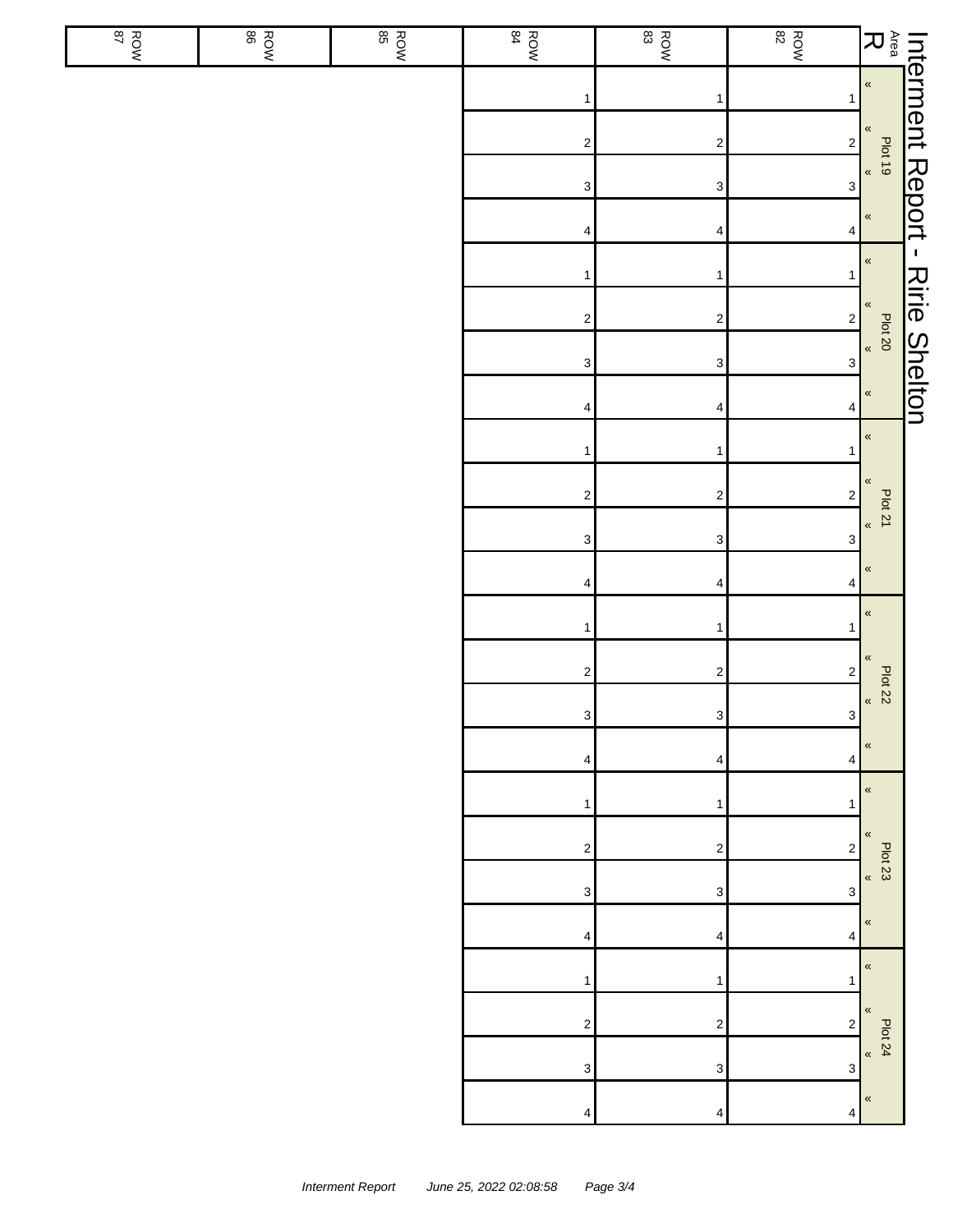| <b>ROW</b> | ROW<br>BO | ROW | ROW<br>84                 | $\frac{ROM}{83}$        | <b>ROW</b><br>82          |                                                                                                                                |
|------------|-----------|-----|---------------------------|-------------------------|---------------------------|--------------------------------------------------------------------------------------------------------------------------------|
|            |           |     | $\mathbf{1}$              | 1                       | 1                         |                                                                                                                                |
|            |           |     | $\mathbf{2}$              | $\overline{\mathbf{c}}$ | $\overline{\mathbf{c}}$   |                                                                                                                                |
|            |           |     | $\ensuremath{\mathsf{3}}$ | 3                       | $\ensuremath{\mathsf{3}}$ | Interment Report - Ririe Shelton<br>Area Pletta<br>R<br>R<br>R<br>R<br>R<br>R<br><br>R<br><br>R<br><br>Pleton<br>Plet Deptic D |
|            |           |     | 4                         | 4                       | 4                         |                                                                                                                                |
|            |           |     | $\mathbf{1}$              | 1                       | 1                         |                                                                                                                                |
|            |           |     | $\mathbf{2}$              | $\overline{\mathbf{c}}$ | $\mathbf 2$               |                                                                                                                                |
|            |           |     | $\mathbf{3}$              | 3                       | $\ensuremath{\mathsf{3}}$ |                                                                                                                                |
|            |           |     | $\overline{\mathbf{4}}$   | 4                       | $\overline{\mathbf{4}}$   |                                                                                                                                |
|            |           |     | $\mathbf{1}$              | 1                       | 1                         | $\langle$                                                                                                                      |
|            |           |     | $\mathbf{2}$              | $\overline{\mathbf{c}}$ | $\mathbf 2$               | $\pmb{\kappa}$<br>Plot 21                                                                                                      |
|            |           |     | $\mathbf{3}$              | 3                       | $\ensuremath{\mathsf{3}}$ | $\pmb{\kappa}$                                                                                                                 |
|            |           |     | $\overline{\mathbf{4}}$   | 4                       | 4                         | $\pmb{\ll}$                                                                                                                    |
|            |           |     | $\mathbf{1}$              | $\mathbf 1$             | 1                         | $\pmb{\kappa}$                                                                                                                 |
|            |           |     | $\mathbf{2}$              | $\overline{\mathbf{c}}$ | $\boldsymbol{2}$          | $\pmb{\ll}$<br>Plot 22                                                                                                         |
|            |           |     | $\mathbf{3}$              | $\mathbf{3}$            | $\mathbf{3}$              | $\pmb{\kappa}$                                                                                                                 |
|            |           |     | 4                         | 4                       | 4                         | $\pmb{\kappa}$                                                                                                                 |
|            |           |     | 1                         | 1                       | 1                         | $\pmb{\kappa}$                                                                                                                 |
|            |           |     | $\sqrt{2}$                | $\overline{\mathbf{c}}$ | $\overline{\mathbf{c}}$   | $\pmb{\ll}$<br><b>Plot 23</b>                                                                                                  |
|            |           |     | 3                         | 3                       | 3                         | $\pmb{\kappa}$                                                                                                                 |
|            |           |     | 4                         | 4                       | 4                         | $\pmb{\ll}$                                                                                                                    |
|            |           |     | 1                         | 1                       | 1                         | $\pmb{\kappa}$                                                                                                                 |
|            |           |     | $\sqrt{2}$                | $\boldsymbol{2}$        | $\boldsymbol{2}$          | $\pmb{\ll}$<br><b>Plot 24</b>                                                                                                  |
|            |           |     | $\ensuremath{\mathsf{3}}$ | 3                       | $\ensuremath{\mathsf{3}}$ | $\langle\!\langle$                                                                                                             |
|            |           |     | 4                         | 4                       | 4                         | $\pmb{\kappa}$                                                                                                                 |